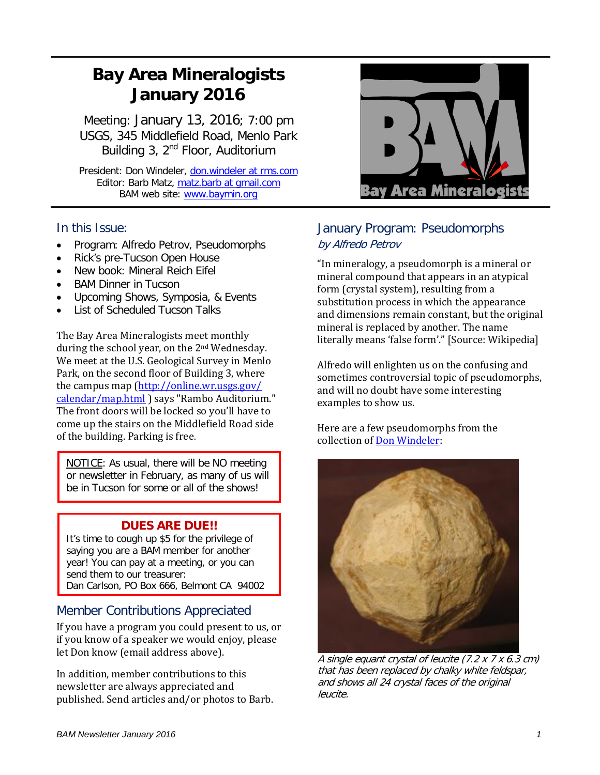# **Bay Area Mineralogists January 2016**

Meeting: January 13, 2016; 7:00 pm USGS, 345 Middlefield Road, Menlo Park Building 3, 2<sup>nd</sup> Floor, Auditorium

President: Don Windeler, don.windeler at rms.com Editor: Barb Matz, matz.barb at gmail.com BAM web site: [www.baymin.org](http://www.baymin.org/)

## In this Issue:

- Program: Alfredo Petrov, Pseudomorphs
- Rick's pre-Tucson Open House
- New book: Mineral Reich Eifel
- BAM Dinner in Tucson
- Upcoming Shows, Symposia, & Events
- List of Scheduled Tucson Talks

The Bay Area Mineralogists meet monthly during the school year, on the 2nd Wednesday. We meet at the U.S. Geological Survey in Menlo Park, on the second floor of Building 3, where the campus map [\(http://online.wr.usgs.gov/](http://online.wr.usgs.gov/%20calendar/map.html)  [calendar/map.html](http://online.wr.usgs.gov/%20calendar/map.html) ) says "Rambo Auditorium." The front doors will be locked so you'll have to come up the stairs on the Middlefield Road side of the building. Parking is free.

NOTICE: As usual, there will be NO meeting or newsletter in February, as many of us will be in Tucson for some or all of the shows!

## **DUES ARE DUE!!**

It's time to cough up \$5 for the privilege of saying you are a BAM member for another year! You can pay at a meeting, or you can send them to our treasurer: Dan Carlson, PO Box 666, Belmont CA 94002

## Member Contributions Appreciated

If you have a program you could present to us, or if you know of a speaker we would enjoy, please let Don know (email address above).

In addition, member contributions to this newsletter are always appreciated and published. Send articles and/or photos to Barb.



## January Program: Pseudomorphs by Alfredo Petrov

"In mineralogy, a pseudomorph is a mineral or mineral compound that appears in an atypical form (crystal system), resulting from a substitution process in which the appearance and dimensions remain constant, but the original mineral is replaced by another. The name literally means 'false form'." [Source: Wikipedia]

Alfredo will enlighten us on the confusing and sometimes controversial topic of pseudomorphs, and will no doubt have some interesting examples to show us.

Here are a few pseudomorphs from the collection o[f Don Windeler:](http://www.mindat.org/gallery.php?cform_is_valid=1&u=13272&frm_id=pager&min=&loc=&potd=&pco=&d=&showtype=1&photoclass=&filtmin=0&filtcountry=0&loctxt=&keywords=pseudomorph&mycol=&orderxby=1&submit_pager=Filter+Search&cf_pager_page=1)



A single equant crystal of leucite (7.2 x 7 x 6.3 cm) that has been replaced by chalky white feldspar, and shows all 24 crystal faces of the original leucite.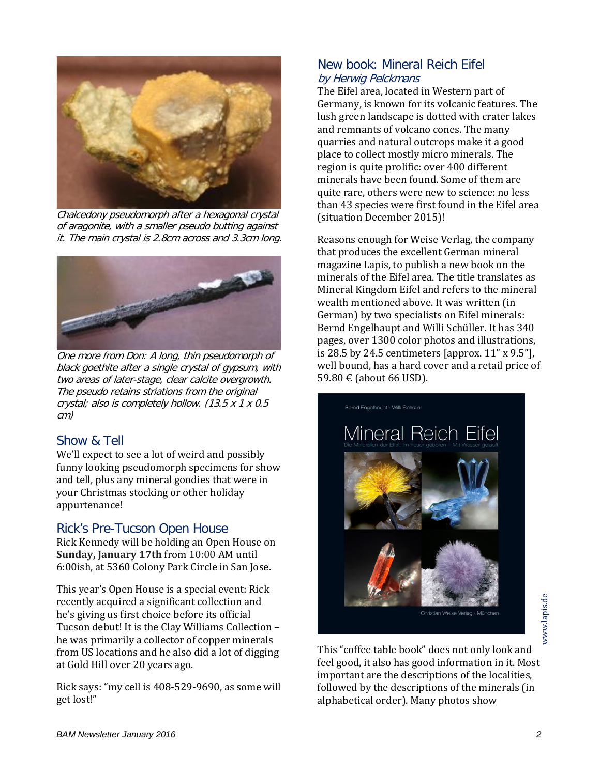

Chalcedony pseudomorph after a hexagonal crystal of aragonite, with a smaller pseudo butting against it. The main crystal is 2.8cm across and 3.3cm long.



One more from Don: A long, thin pseudomorph of black goethite after a single crystal of gypsum, with two areas of later-stage, clear calcite overgrowth. The pseudo retains striations from the original crystal; also is completely hollow. (13.5 x 1 x 0.5 cm)

#### Show & Tell

We'll expect to see a lot of weird and possibly funny looking pseudomorph specimens for show and tell, plus any mineral goodies that were in your Christmas stocking or other holiday appurtenance!

#### Rick's Pre-Tucson Open House

Rick Kennedy will be holding an Open House on **Sunday, January 17th** from 10:00 AM until 6:00ish, at 5360 Colony Park Circle in San Jose.

This year's Open House is a special event: Rick recently acquired a significant collection and he's giving us first choice before its official Tucson debut! It is the Clay Williams Collection – he was primarily a collector of copper minerals from US locations and he also did a lot of digging at Gold Hill over 20 years ago.

Rick says: "my cell is 408-529-9690, as some will get lost!"

### New book: Mineral Reich Eifel by Herwig Pelckmans

The Eifel area, located in Western part of Germany, is known for its volcanic features. The lush green landscape is dotted with crater lakes and remnants of volcano cones. The many quarries and natural outcrops make it a good place to collect mostly micro minerals. The region is quite prolific: over 400 different minerals have been found. Some of them are quite rare, others were new to science: no less than 43 species were first found in the Eifel area (situation December 2015)!

Reasons enough for Weise Verlag, the company that produces the excellent German mineral magazine Lapis, to publish a new book on the minerals of the Eifel area. The title translates as Mineral Kingdom Eifel and refers to the mineral wealth mentioned above. It was written (in German) by two specialists on Eifel minerals: Bernd Engelhaupt and Willi Schüller. It has 340 pages, over 1300 color photos and illustrations, is 28.5 by 24.5 centimeters [approx. 11" x 9.5"], well bound, has a hard cover and a retail price of 59.80 € (about 66 USD).



www.lapis.de www.lapis.de

This "coffee table book" does not only look and feel good, it also has good information in it. Most important are the descriptions of the localities, followed by the descriptions of the minerals (in alphabetical order). Many photos show